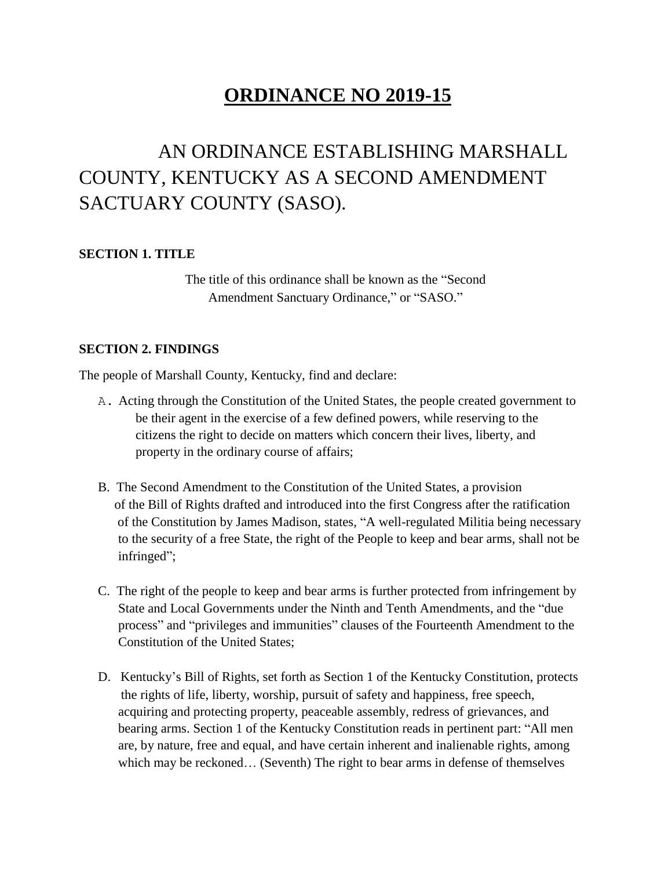## **ORDINANCE NO 2019-15**

# AN ORDINANCE ESTABLISHING MARSHALL COUNTY, KENTUCKY AS A SECOND AMENDMENT SACTUARY COUNTY (SASO).

#### **SECTION 1. TITLE**

The title of this ordinance shall be known as the "Second Amendment Sanctuary Ordinance," or "SASO."

#### **SECTION 2. FINDINGS**

The people of Marshall County, Kentucky, find and declare:

- A. Acting through the Constitution of the United States, the people created government to be their agent in the exercise of a few defined powers, while reserving to the citizens the right to decide on matters which concern their lives, liberty, and property in the ordinary course of affairs;
- B. The Second Amendment to the Constitution of the United States, a provision of the Bill of Rights drafted and introduced into the first Congress after the ratification of the Constitution by James Madison, states, "A well-regulated Militia being necessary to the security of a free State, the right of the People to keep and bear arms, shall not be infringed";
- C. The right of the people to keep and bear arms is further protected from infringement by State and Local Governments under the Ninth and Tenth Amendments, and the "due process" and "privileges and immunities" clauses of the Fourteenth Amendment to the Constitution of the United States;
- D. Kentucky's Bill of Rights, set forth as Section 1 of the Kentucky Constitution, protects the rights of life, liberty, worship, pursuit of safety and happiness, free speech, acquiring and protecting property, peaceable assembly, redress of grievances, and bearing arms. Section 1 of the Kentucky Constitution reads in pertinent part: "All men are, by nature, free and equal, and have certain inherent and inalienable rights, among which may be reckoned… (Seventh) The right to bear arms in defense of themselves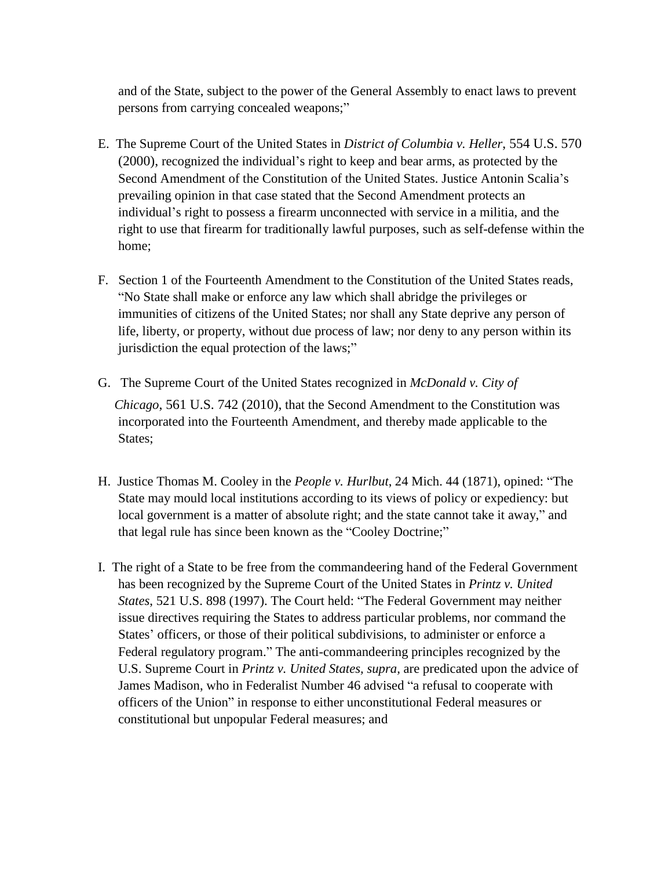and of the State, subject to the power of the General Assembly to enact laws to prevent persons from carrying concealed weapons;"

- E. The Supreme Court of the United States in *District of Columbia v. Heller*, 554 U.S. 570 (2000), recognized the individual's right to keep and bear arms, as protected by the Second Amendment of the Constitution of the United States. Justice Antonin Scalia's prevailing opinion in that case stated that the Second Amendment protects an individual's right to possess a firearm unconnected with service in a militia, and the right to use that firearm for traditionally lawful purposes, such as self-defense within the home;
- F. Section 1 of the Fourteenth Amendment to the Constitution of the United States reads, "No State shall make or enforce any law which shall abridge the privileges or immunities of citizens of the United States; nor shall any State deprive any person of life, liberty, or property, without due process of law; nor deny to any person within its jurisdiction the equal protection of the laws;"
- G. The Supreme Court of the United States recognized in *McDonald v. City of Chicago*, 561 U.S. 742 (2010), that the Second Amendment to the Constitution was incorporated into the Fourteenth Amendment, and thereby made applicable to the States;
- H. Justice Thomas M. Cooley in the *People v. Hurlbut*, 24 Mich. 44 (1871), opined: "The State may mould local institutions according to its views of policy or expediency: but local government is a matter of absolute right; and the state cannot take it away," and that legal rule has since been known as the "Cooley Doctrine;"
- I. The right of a State to be free from the commandeering hand of the Federal Government has been recognized by the Supreme Court of the United States in *Printz v. United States*, 521 U.S. 898 (1997). The Court held: "The Federal Government may neither issue directives requiring the States to address particular problems, nor command the States' officers, or those of their political subdivisions, to administer or enforce a Federal regulatory program." The anti-commandeering principles recognized by the U.S. Supreme Court in *Printz v. United States, supra,* are predicated upon the advice of James Madison, who in Federalist Number 46 advised "a refusal to cooperate with officers of the Union" in response to either unconstitutional Federal measures or constitutional but unpopular Federal measures; and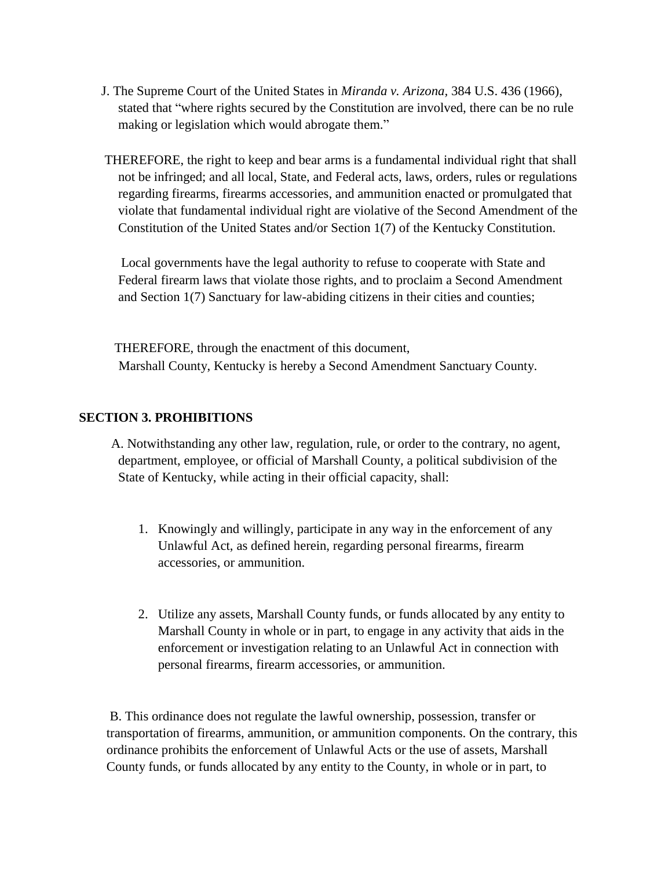- J. The Supreme Court of the United States in *Miranda v. Arizona,* 384 U.S. 436 (1966), stated that "where rights secured by the Constitution are involved, there can be no rule making or legislation which would abrogate them."
- THEREFORE, the right to keep and bear arms is a fundamental individual right that shall not be infringed; and all local, State, and Federal acts, laws, orders, rules or regulations regarding firearms, firearms accessories, and ammunition enacted or promulgated that violate that fundamental individual right are violative of the Second Amendment of the Constitution of the United States and/or Section 1(7) of the Kentucky Constitution.

 Local governments have the legal authority to refuse to cooperate with State and Federal firearm laws that violate those rights, and to proclaim a Second Amendment and Section 1(7) Sanctuary for law-abiding citizens in their cities and counties;

 THEREFORE, through the enactment of this document, Marshall County, Kentucky is hereby a Second Amendment Sanctuary County.

#### **SECTION 3. PROHIBITIONS**

 A. Notwithstanding any other law, regulation, rule, or order to the contrary, no agent, department, employee, or official of Marshall County, a political subdivision of the State of Kentucky, while acting in their official capacity, shall:

- 1. Knowingly and willingly, participate in any way in the enforcement of any Unlawful Act, as defined herein, regarding personal firearms, firearm accessories, or ammunition.
- 2. Utilize any assets, Marshall County funds, or funds allocated by any entity to Marshall County in whole or in part, to engage in any activity that aids in the enforcement or investigation relating to an Unlawful Act in connection with personal firearms, firearm accessories, or ammunition.

B. This ordinance does not regulate the lawful ownership, possession, transfer or transportation of firearms, ammunition, or ammunition components. On the contrary, this ordinance prohibits the enforcement of Unlawful Acts or the use of assets, Marshall County funds, or funds allocated by any entity to the County, in whole or in part, to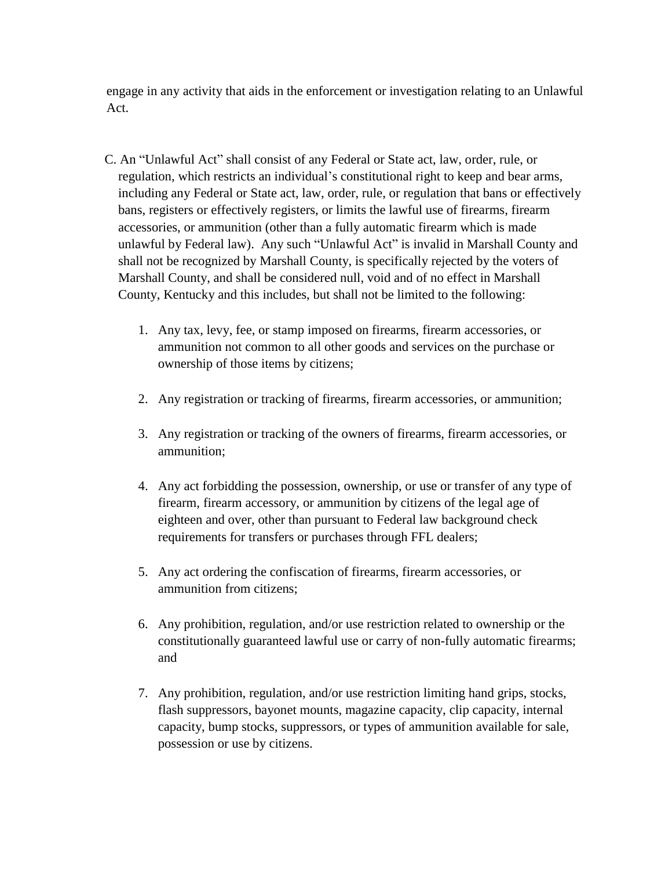engage in any activity that aids in the enforcement or investigation relating to an Unlawful Act.

- C. An "Unlawful Act" shall consist of any Federal or State act, law, order, rule, or regulation, which restricts an individual's constitutional right to keep and bear arms, including any Federal or State act, law, order, rule, or regulation that bans or effectively bans, registers or effectively registers, or limits the lawful use of firearms, firearm accessories, or ammunition (other than a fully automatic firearm which is made unlawful by Federal law). Any such "Unlawful Act" is invalid in Marshall County and shall not be recognized by Marshall County, is specifically rejected by the voters of Marshall County, and shall be considered null, void and of no effect in Marshall County, Kentucky and this includes, but shall not be limited to the following:
	- 1. Any tax, levy, fee, or stamp imposed on firearms, firearm accessories, or ammunition not common to all other goods and services on the purchase or ownership of those items by citizens;
	- 2. Any registration or tracking of firearms, firearm accessories, or ammunition;
	- 3. Any registration or tracking of the owners of firearms, firearm accessories, or ammunition;
	- 4. Any act forbidding the possession, ownership, or use or transfer of any type of firearm, firearm accessory, or ammunition by citizens of the legal age of eighteen and over, other than pursuant to Federal law background check requirements for transfers or purchases through FFL dealers;
	- 5. Any act ordering the confiscation of firearms, firearm accessories, or ammunition from citizens;
	- 6. Any prohibition, regulation, and/or use restriction related to ownership or the constitutionally guaranteed lawful use or carry of non-fully automatic firearms; and
	- 7. Any prohibition, regulation, and/or use restriction limiting hand grips, stocks, flash suppressors, bayonet mounts, magazine capacity, clip capacity, internal capacity, bump stocks, suppressors, or types of ammunition available for sale, possession or use by citizens.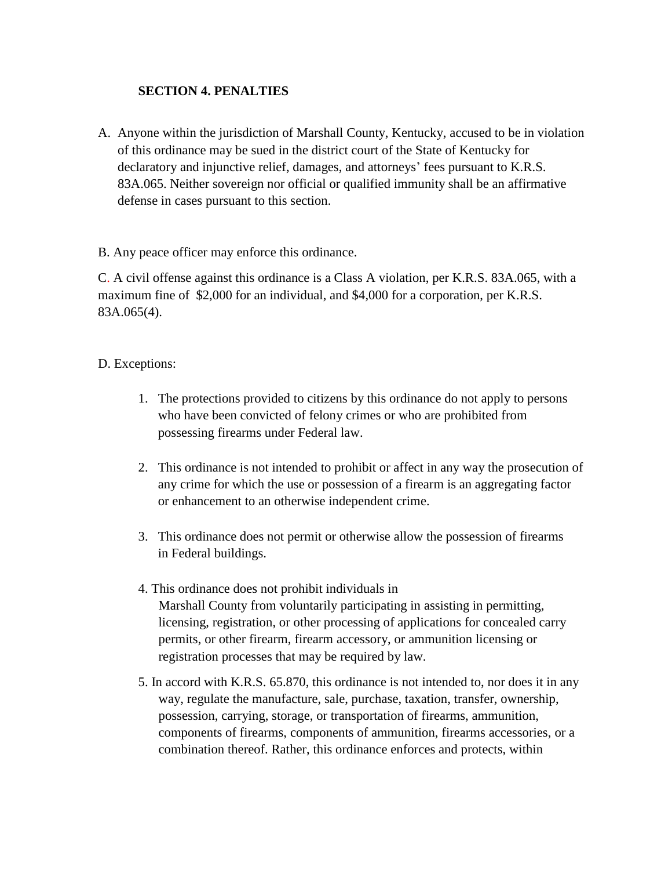### **SECTION 4. PENALTIES**

A. Anyone within the jurisdiction of Marshall County, Kentucky, accused to be in violation of this ordinance may be sued in the district court of the State of Kentucky for declaratory and injunctive relief, damages, and attorneys' fees pursuant to K.R.S. 83A.065. Neither sovereign nor official or qualified immunity shall be an affirmative defense in cases pursuant to this section.

B. Any peace officer may enforce this ordinance.

C. A civil offense against this ordinance is a Class A violation, per K.R.S. 83A.065, with a maximum fine of \$2,000 for an individual, and \$4,000 for a corporation, per K.R.S. 83A.065(4).

#### D. Exceptions:

- 1. The protections provided to citizens by this ordinance do not apply to persons who have been convicted of felony crimes or who are prohibited from possessing firearms under Federal law.
- 2. This ordinance is not intended to prohibit or affect in any way the prosecution of any crime for which the use or possession of a firearm is an aggregating factor or enhancement to an otherwise independent crime.
- 3. This ordinance does not permit or otherwise allow the possession of firearms in Federal buildings.
- 4. This ordinance does not prohibit individuals in Marshall County from voluntarily participating in assisting in permitting, licensing, registration, or other processing of applications for concealed carry permits, or other firearm, firearm accessory, or ammunition licensing or registration processes that may be required by law.
- 5. In accord with K.R.S. 65.870, this ordinance is not intended to, nor does it in any way, regulate the manufacture, sale, purchase, taxation, transfer, ownership, possession, carrying, storage, or transportation of firearms, ammunition, components of firearms, components of ammunition, firearms accessories, or a combination thereof. Rather, this ordinance enforces and protects, within